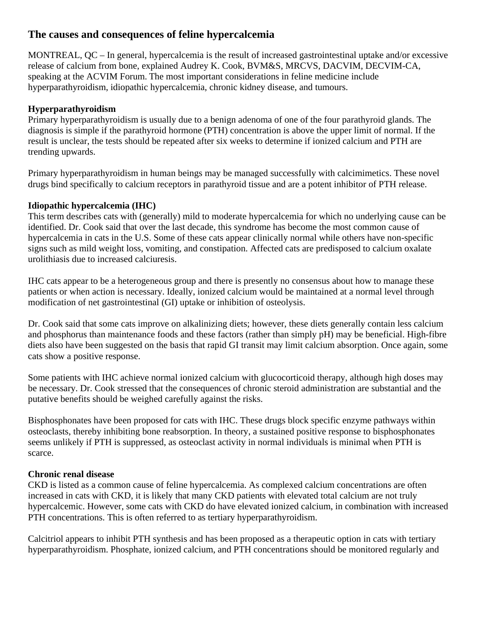# **The causes and consequences of feline hypercalcemia**

MONTREAL, QC – In general, hypercalcemia is the result of increased gastrointestinal uptake and/or excessive release of calcium from bone, explained Audrey K. Cook, BVM&S, MRCVS, DACVIM, DECVIM-CA, speaking at the ACVIM Forum. The most important considerations in feline medicine include hyperparathyroidism, idiopathic hypercalcemia, chronic kidney disease, and tumours.

# **Hyperparathyroidism**

Primary hyperparathyroidism is usually due to a benign adenoma of one of the four parathyroid glands. The diagnosis is simple if the parathyroid hormone (PTH) concentration is above the upper limit of normal. If the result is unclear, the tests should be repeated after six weeks to determine if ionized calcium and PTH are trending upwards.

Primary hyperparathyroidism in human beings may be managed successfully with calcimimetics. These novel drugs bind specifically to calcium receptors in parathyroid tissue and are a potent inhibitor of PTH release.

## **Idiopathic hypercalcemia (IHC)**

This term describes cats with (generally) mild to moderate hypercalcemia for which no underlying cause can be identified. Dr. Cook said that over the last decade, this syndrome has become the most common cause of hypercalcemia in cats in the U.S. Some of these cats appear clinically normal while others have non-specific signs such as mild weight loss, vomiting, and constipation. Affected cats are predisposed to calcium oxalate urolithiasis due to increased calciuresis.

IHC cats appear to be a heterogeneous group and there is presently no consensus about how to manage these patients or when action is necessary. Ideally, ionized calcium would be maintained at a normal level through modification of net gastrointestinal (GI) uptake or inhibition of osteolysis.

Dr. Cook said that some cats improve on alkalinizing diets; however, these diets generally contain less calcium and phosphorus than maintenance foods and these factors (rather than simply pH) may be beneficial. High-fibre diets also have been suggested on the basis that rapid GI transit may limit calcium absorption. Once again, some cats show a positive response.

Some patients with IHC achieve normal ionized calcium with glucocorticoid therapy, although high doses may be necessary. Dr. Cook stressed that the consequences of chronic steroid administration are substantial and the putative benefits should be weighed carefully against the risks.

Bisphosphonates have been proposed for cats with IHC. These drugs block specific enzyme pathways within osteoclasts, thereby inhibiting bone reabsorption. In theory, a sustained positive response to bisphosphonates seems unlikely if PTH is suppressed, as osteoclast activity in normal individuals is minimal when PTH is scarce.

## **Chronic renal disease**

CKD is listed as a common cause of feline hypercalcemia. As complexed calcium concentrations are often increased in cats with CKD, it is likely that many CKD patients with elevated total calcium are not truly hypercalcemic. However, some cats with CKD do have elevated ionized calcium, in combination with increased PTH concentrations. This is often referred to as tertiary hyperparathyroidism.

Calcitriol appears to inhibit PTH synthesis and has been proposed as a therapeutic option in cats with tertiary hyperparathyroidism. Phosphate, ionized calcium, and PTH concentrations should be monitored regularly and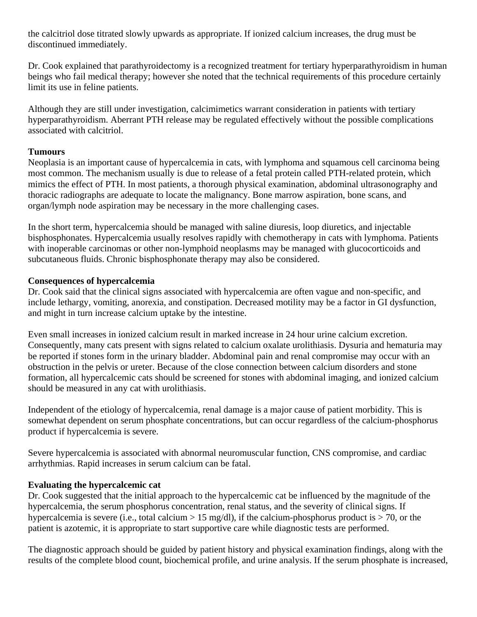the calcitriol dose titrated slowly upwards as appropriate. If ionized calcium increases, the drug must be discontinued immediately.

Dr. Cook explained that parathyroidectomy is a recognized treatment for tertiary hyperparathyroidism in human beings who fail medical therapy; however she noted that the technical requirements of this procedure certainly limit its use in feline patients.

Although they are still under investigation, calcimimetics warrant consideration in patients with tertiary hyperparathyroidism. Aberrant PTH release may be regulated effectively without the possible complications associated with calcitriol.

#### **Tumours**

Neoplasia is an important cause of hypercalcemia in cats, with lymphoma and squamous cell carcinoma being most common. The mechanism usually is due to release of a fetal protein called PTH-related protein, which mimics the effect of PTH. In most patients, a thorough physical examination, abdominal ultrasonography and thoracic radiographs are adequate to locate the malignancy. Bone marrow aspiration, bone scans, and organ/lymph node aspiration may be necessary in the more challenging cases.

In the short term, hypercalcemia should be managed with saline diuresis, loop diuretics, and injectable bisphosphonates. Hypercalcemia usually resolves rapidly with chemotherapy in cats with lymphoma. Patients with inoperable carcinomas or other non-lymphoid neoplasms may be managed with glucocorticoids and subcutaneous fluids. Chronic bisphosphonate therapy may also be considered.

#### **Consequences of hypercalcemia**

Dr. Cook said that the clinical signs associated with hypercalcemia are often vague and non-specific, and include lethargy, vomiting, anorexia, and constipation. Decreased motility may be a factor in GI dysfunction, and might in turn increase calcium uptake by the intestine.

Even small increases in ionized calcium result in marked increase in 24 hour urine calcium excretion. Consequently, many cats present with signs related to calcium oxalate urolithiasis. Dysuria and hematuria may be reported if stones form in the urinary bladder. Abdominal pain and renal compromise may occur with an obstruction in the pelvis or ureter. Because of the close connection between calcium disorders and stone formation, all hypercalcemic cats should be screened for stones with abdominal imaging, and ionized calcium should be measured in any cat with urolithiasis.

Independent of the etiology of hypercalcemia, renal damage is a major cause of patient morbidity. This is somewhat dependent on serum phosphate concentrations, but can occur regardless of the calcium-phosphorus product if hypercalcemia is severe.

Severe hypercalcemia is associated with abnormal neuromuscular function, CNS compromise, and cardiac arrhythmias. Rapid increases in serum calcium can be fatal.

## **Evaluating the hypercalcemic cat**

Dr. Cook suggested that the initial approach to the hypercalcemic cat be influenced by the magnitude of the hypercalcemia, the serum phosphorus concentration, renal status, and the severity of clinical signs. If hypercalcemia is severe (i.e., total calcium > 15 mg/dl), if the calcium-phosphorus product is > 70, or the patient is azotemic, it is appropriate to start supportive care while diagnostic tests are performed.

The diagnostic approach should be guided by patient history and physical examination findings, along with the results of the complete blood count, biochemical profile, and urine analysis. If the serum phosphate is increased,